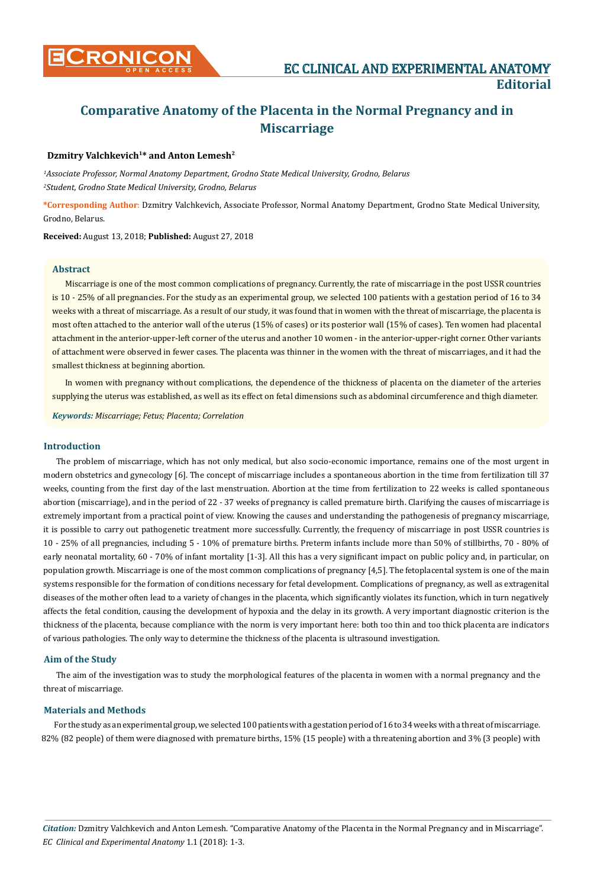

# **Comparative Anatomy of the Placenta in the Normal Pregnancy and in Miscarriage**

# **Dzmitry Valchkevich1\* and Anton Lemesh2**

*1 Associate Professor, Normal Anatomy Department, Grodno State Medical University, Grodno, Belarus 2 Student, Grodno State Medical University, Grodno, Belarus*

**\*Corresponding Author**: Dzmitry Valchkevich, Associate Professor, Normal Anatomy Department, Grodno State Medical University, Grodno, Belarus.

**Received:** August 13, 2018; **Published:** August 27, 2018

## **Abstract**

Miscarriage is one of the most common complications of pregnancy. Currently, the rate of miscarriage in the post USSR countries is 10 - 25% of all pregnancies. For the study as an experimental group, we selected 100 patients with a gestation period of 16 to 34 weeks with a threat of miscarriage. As a result of our study, it was found that in women with the threat of miscarriage, the placenta is most often attached to the anterior wall of the uterus (15% of cases) or its posterior wall (15% of cases). Ten women had placental attachment in the anterior-upper-left corner of the uterus and another 10 women - in the anterior-upper-right corner. Other variants of attachment were observed in fewer cases. The placenta was thinner in the women with the threat of miscarriages, and it had the smallest thickness at beginning abortion.

In women with pregnancy without complications, the dependence of the thickness of placenta on the diameter of the arteries supplying the uterus was established, as well as its effect on fetal dimensions such as abdominal circumference and thigh diameter.

*Keywords: Miscarriage; Fetus; Placenta; Correlation*

## **Introduction**

The problem of miscarriage, which has not only medical, but also socio-economic importance, remains one of the most urgent in modern obstetrics and gynecology [6]. The concept of miscarriage includes a spontaneous abortion in the time from fertilization till 37 weeks, counting from the first day of the last menstruation. Abortion at the time from fertilization to 22 weeks is called spontaneous abortion (miscarriage), and in the period of 22 - 37 weeks of pregnancy is called premature birth. Clarifying the causes of miscarriage is extremely important from a practical point of view. Knowing the causes and understanding the pathogenesis of pregnancy miscarriage, it is possible to carry out pathogenetic treatment more successfully. Currently, the frequency of miscarriage in post USSR countries is 10 - 25% of all pregnancies, including 5 - 10% of premature births. Preterm infants include more than 50% of stillbirths, 70 - 80% of early neonatal mortality, 60 - 70% of infant mortality [1-3]. All this has a very significant impact on public policy and, in particular, on population growth. Miscarriage is one of the most common complications of pregnancy [4,5]. The fetoplacental system is one of the main systems responsible for the formation of conditions necessary for fetal development. Complications of pregnancy, as well as extragenital diseases of the mother often lead to a variety of changes in the placenta, which significantly violates its function, which in turn negatively affects the fetal condition, causing the development of hypoxia and the delay in its growth. A very important diagnostic criterion is the thickness of the placenta, because compliance with the norm is very important here: both too thin and too thick placenta are indicators of various pathologies. The only way to determine the thickness of the placenta is ultrasound investigation.

### **Aim of the Study**

The aim of the investigation was to study the morphological features of the placenta in women with a normal pregnancy and the threat of miscarriage.

### **Materials and Methods**

For the study as an experimental group, we selected 100 patients with a gestation period of 16 to 34 weeks with a threat of miscarriage. 82% (82 people) of them were diagnosed with premature births, 15% (15 people) with a threatening abortion and 3% (3 people) with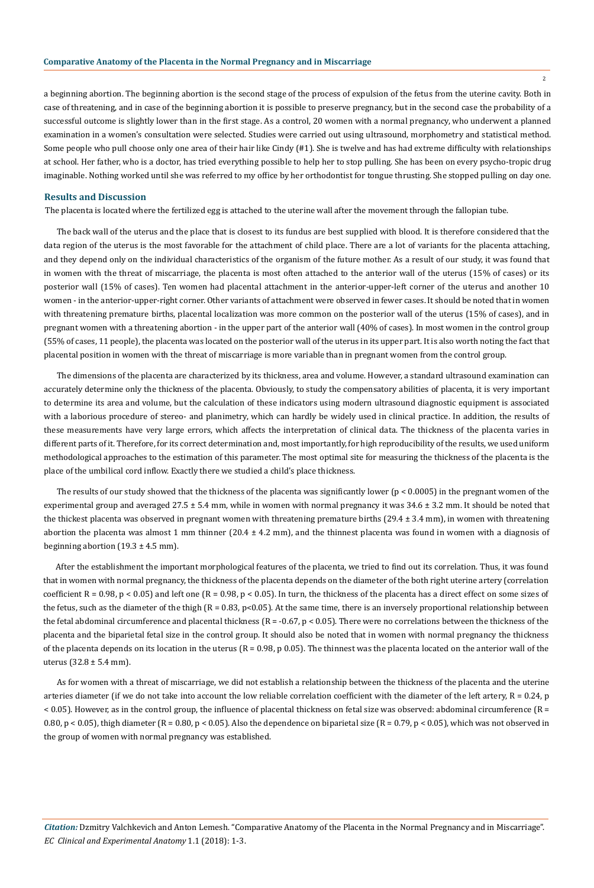#### **Comparative Anatomy of the Placenta in the Normal Pregnancy and in Miscarriage**

a beginning abortion. The beginning abortion is the second stage of the process of expulsion of the fetus from the uterine cavity. Both in case of threatening, and in case of the beginning abortion it is possible to preserve pregnancy, but in the second case the probability of a successful outcome is slightly lower than in the first stage. As a control, 20 women with a normal pregnancy, who underwent a planned examination in a women's consultation were selected. Studies were carried out using ultrasound, morphometry and statistical method. Some people who pull choose only one area of their hair like Cindy (#1). She is twelve and has had extreme difficulty with relationships at school. Her father, who is a doctor, has tried everything possible to help her to stop pulling. She has been on every psycho-tropic drug imaginable. Nothing worked until she was referred to my office by her orthodontist for tongue thrusting. She stopped pulling on day one.

#### **Results and Discussion**

The placenta is located where the fertilized egg is attached to the uterine wall after the movement through the fallopian tube.

The back wall of the uterus and the place that is closest to its fundus are best supplied with blood. It is therefore considered that the data region of the uterus is the most favorable for the attachment of child place. There are a lot of variants for the placenta attaching, and they depend only on the individual characteristics of the organism of the future mother. As a result of our study, it was found that in women with the threat of miscarriage, the placenta is most often attached to the anterior wall of the uterus (15% of cases) or its posterior wall (15% of cases). Ten women had placental attachment in the anterior-upper-left corner of the uterus and another 10 women - in the anterior-upper-right corner. Other variants of attachment were observed in fewer cases. It should be noted that in women with threatening premature births, placental localization was more common on the posterior wall of the uterus (15% of cases), and in pregnant women with a threatening abortion - in the upper part of the anterior wall (40% of cases). In most women in the control group (55% of cases, 11 people), the placenta was located on the posterior wall of the uterus in its upper part. It is also worth noting the fact that placental position in women with the threat of miscarriage is more variable than in pregnant women from the control group.

The dimensions of the placenta are characterized by its thickness, area and volume. However, a standard ultrasound examination can accurately determine only the thickness of the placenta. Obviously, to study the compensatory abilities of placenta, it is very important to determine its area and volume, but the calculation of these indicators using modern ultrasound diagnostic equipment is associated with a laborious procedure of stereo- and planimetry, which can hardly be widely used in clinical practice. In addition, the results of these measurements have very large errors, which affects the interpretation of clinical data. The thickness of the placenta varies in different parts of it. Therefore, for its correct determination and, most importantly, for high reproducibility of the results, we used uniform methodological approaches to the estimation of this parameter. The most optimal site for measuring the thickness of the placenta is the place of the umbilical cord inflow. Exactly there we studied a child's place thickness.

The results of our study showed that the thickness of the placenta was significantly lower (p < 0.0005) in the pregnant women of the experimental group and averaged 27.5 ± 5.4 mm, while in women with normal pregnancy it was 34.6 ± 3.2 mm. It should be noted that the thickest placenta was observed in pregnant women with threatening premature births (29.4 ± 3.4 mm), in women with threatening abortion the placenta was almost 1 mm thinner  $(20.4 \pm 4.2 \text{ mm})$ , and the thinnest placenta was found in women with a diagnosis of beginning abortion  $(19.3 \pm 4.5 \text{ mm})$ .

After the establishment the important morphological features of the placenta, we tried to find out its correlation. Thus, it was found that in women with normal pregnancy, the thickness of the placenta depends on the diameter of the both right uterine artery (correlation coefficient  $R = 0.98$ ,  $p < 0.05$ ) and left one  $(R = 0.98, p < 0.05)$ . In turn, the thickness of the placenta has a direct effect on some sizes of the fetus, such as the diameter of the thigh  $(R = 0.83, p<0.05)$ . At the same time, there is an inversely proportional relationship between the fetal abdominal circumference and placental thickness  $(R = -0.67, p < 0.05)$ . There were no correlations between the thickness of the placenta and the biparietal fetal size in the control group. It should also be noted that in women with normal pregnancy the thickness of the placenta depends on its location in the uterus  $(R = 0.98, p \ 0.05)$ . The thinnest was the placenta located on the anterior wall of the uterus  $(32.8 \pm 5.4 \text{ mm})$ .

As for women with a threat of miscarriage, we did not establish a relationship between the thickness of the placenta and the uterine arteries diameter (if we do not take into account the low reliable correlation coefficient with the diameter of the left artery,  $R = 0.24$ , p < 0.05). However, as in the control group, the influence of placental thickness on fetal size was observed: abdominal circumference (R = 0.80,  $p < 0.05$ ), thigh diameter (R = 0.80,  $p < 0.05$ ). Also the dependence on biparietal size (R = 0.79,  $p < 0.05$ ), which was not observed in the group of women with normal pregnancy was established.

2